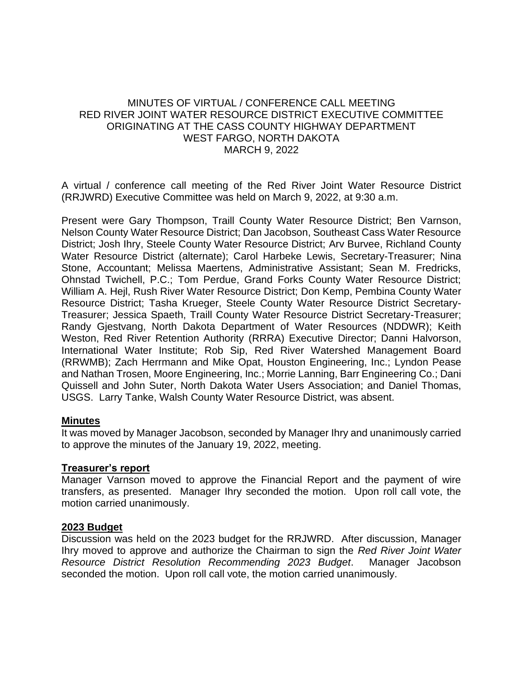## MINUTES OF VIRTUAL / CONFERENCE CALL MEETING RED RIVER JOINT WATER RESOURCE DISTRICT EXECUTIVE COMMITTEE ORIGINATING AT THE CASS COUNTY HIGHWAY DEPARTMENT WEST FARGO, NORTH DAKOTA MARCH 9, 2022

A virtual / conference call meeting of the Red River Joint Water Resource District (RRJWRD) Executive Committee was held on March 9, 2022, at 9:30 a.m.

Present were Gary Thompson, Traill County Water Resource District; Ben Varnson, Nelson County Water Resource District; Dan Jacobson, Southeast Cass Water Resource District; Josh Ihry, Steele County Water Resource District; Arv Burvee, Richland County Water Resource District (alternate); Carol Harbeke Lewis, Secretary-Treasurer; Nina Stone, Accountant; Melissa Maertens, Administrative Assistant; Sean M. Fredricks, Ohnstad Twichell, P.C.; Tom Perdue, Grand Forks County Water Resource District; William A. Hejl, Rush River Water Resource District; Don Kemp, Pembina County Water Resource District; Tasha Krueger, Steele County Water Resource District Secretary-Treasurer; Jessica Spaeth, Traill County Water Resource District Secretary-Treasurer; Randy Gjestvang, North Dakota Department of Water Resources (NDDWR); Keith Weston, Red River Retention Authority (RRRA) Executive Director; Danni Halvorson, International Water Institute; Rob Sip, Red River Watershed Management Board (RRWMB); Zach Herrmann and Mike Opat, Houston Engineering, Inc.; Lyndon Pease and Nathan Trosen, Moore Engineering, Inc.; Morrie Lanning, Barr Engineering Co.; Dani Quissell and John Suter, North Dakota Water Users Association; and Daniel Thomas, USGS. Larry Tanke, Walsh County Water Resource District, was absent.

### **Minutes**

It was moved by Manager Jacobson, seconded by Manager Ihry and unanimously carried to approve the minutes of the January 19, 2022, meeting.

### **Treasurer's report**

Manager Varnson moved to approve the Financial Report and the payment of wire transfers, as presented. Manager Ihry seconded the motion. Upon roll call vote, the motion carried unanimously.

### **2023 Budget**

Discussion was held on the 2023 budget for the RRJWRD. After discussion, Manager Ihry moved to approve and authorize the Chairman to sign the *Red River Joint Water Resource District Resolution Recommending 2023 Budget*. Manager Jacobson seconded the motion. Upon roll call vote, the motion carried unanimously.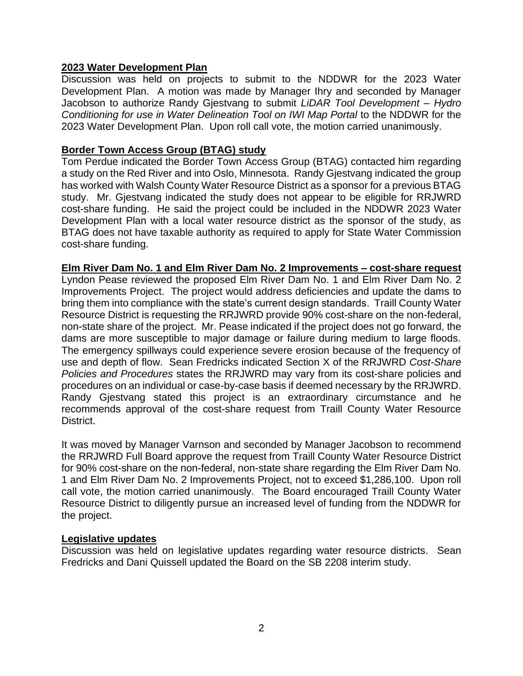## **2023 Water Development Plan**

Discussion was held on projects to submit to the NDDWR for the 2023 Water Development Plan. A motion was made by Manager Ihry and seconded by Manager Jacobson to authorize Randy Gjestvang to submit *LiDAR Tool Development – Hydro Conditioning for use in Water Delineation Tool on IWI Map Portal* to the NDDWR for the 2023 Water Development Plan. Upon roll call vote, the motion carried unanimously.

### **Border Town Access Group (BTAG) study**

Tom Perdue indicated the Border Town Access Group (BTAG) contacted him regarding a study on the Red River and into Oslo, Minnesota. Randy Gjestvang indicated the group has worked with Walsh County Water Resource District as a sponsor for a previous BTAG study. Mr. Gjestvang indicated the study does not appear to be eligible for RRJWRD cost-share funding. He said the project could be included in the NDDWR 2023 Water Development Plan with a local water resource district as the sponsor of the study, as BTAG does not have taxable authority as required to apply for State Water Commission cost-share funding.

### **Elm River Dam No. 1 and Elm River Dam No. 2 Improvements – cost-share request**

Lyndon Pease reviewed the proposed Elm River Dam No. 1 and Elm River Dam No. 2 Improvements Project. The project would address deficiencies and update the dams to bring them into compliance with the state's current design standards. Traill County Water Resource District is requesting the RRJWRD provide 90% cost-share on the non-federal, non-state share of the project. Mr. Pease indicated if the project does not go forward, the dams are more susceptible to major damage or failure during medium to large floods. The emergency spillways could experience severe erosion because of the frequency of use and depth of flow. Sean Fredricks indicated Section X of the RRJWRD *Cost-Share Policies and Procedures* states the RRJWRD may vary from its cost-share policies and procedures on an individual or case-by-case basis if deemed necessary by the RRJWRD. Randy Gjestvang stated this project is an extraordinary circumstance and he recommends approval of the cost-share request from Traill County Water Resource District.

It was moved by Manager Varnson and seconded by Manager Jacobson to recommend the RRJWRD Full Board approve the request from Traill County Water Resource District for 90% cost-share on the non-federal, non-state share regarding the Elm River Dam No. 1 and Elm River Dam No. 2 Improvements Project, not to exceed \$1,286,100. Upon roll call vote, the motion carried unanimously. The Board encouraged Traill County Water Resource District to diligently pursue an increased level of funding from the NDDWR for the project.

### **Legislative updates**

Discussion was held on legislative updates regarding water resource districts. Sean Fredricks and Dani Quissell updated the Board on the SB 2208 interim study.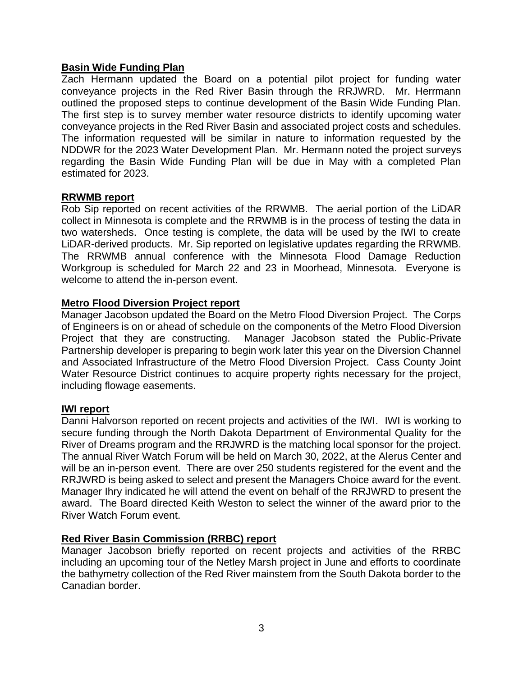## **Basin Wide Funding Plan**

Zach Hermann updated the Board on a potential pilot project for funding water conveyance projects in the Red River Basin through the RRJWRD. Mr. Herrmann outlined the proposed steps to continue development of the Basin Wide Funding Plan. The first step is to survey member water resource districts to identify upcoming water conveyance projects in the Red River Basin and associated project costs and schedules. The information requested will be similar in nature to information requested by the NDDWR for the 2023 Water Development Plan. Mr. Hermann noted the project surveys regarding the Basin Wide Funding Plan will be due in May with a completed Plan estimated for 2023.

# **RRWMB report**

Rob Sip reported on recent activities of the RRWMB. The aerial portion of the LiDAR collect in Minnesota is complete and the RRWMB is in the process of testing the data in two watersheds. Once testing is complete, the data will be used by the IWI to create LiDAR-derived products. Mr. Sip reported on legislative updates regarding the RRWMB. The RRWMB annual conference with the Minnesota Flood Damage Reduction Workgroup is scheduled for March 22 and 23 in Moorhead, Minnesota. Everyone is welcome to attend the in-person event.

# **Metro Flood Diversion Project report**

Manager Jacobson updated the Board on the Metro Flood Diversion Project. The Corps of Engineers is on or ahead of schedule on the components of the Metro Flood Diversion Project that they are constructing. Manager Jacobson stated the Public-Private Partnership developer is preparing to begin work later this year on the Diversion Channel and Associated Infrastructure of the Metro Flood Diversion Project. Cass County Joint Water Resource District continues to acquire property rights necessary for the project, including flowage easements.

## **IWI report**

Danni Halvorson reported on recent projects and activities of the IWI. IWI is working to secure funding through the North Dakota Department of Environmental Quality for the River of Dreams program and the RRJWRD is the matching local sponsor for the project. The annual River Watch Forum will be held on March 30, 2022, at the Alerus Center and will be an in-person event. There are over 250 students registered for the event and the RRJWRD is being asked to select and present the Managers Choice award for the event. Manager Ihry indicated he will attend the event on behalf of the RRJWRD to present the award. The Board directed Keith Weston to select the winner of the award prior to the River Watch Forum event.

# **Red River Basin Commission (RRBC) report**

Manager Jacobson briefly reported on recent projects and activities of the RRBC including an upcoming tour of the Netley Marsh project in June and efforts to coordinate the bathymetry collection of the Red River mainstem from the South Dakota border to the Canadian border.